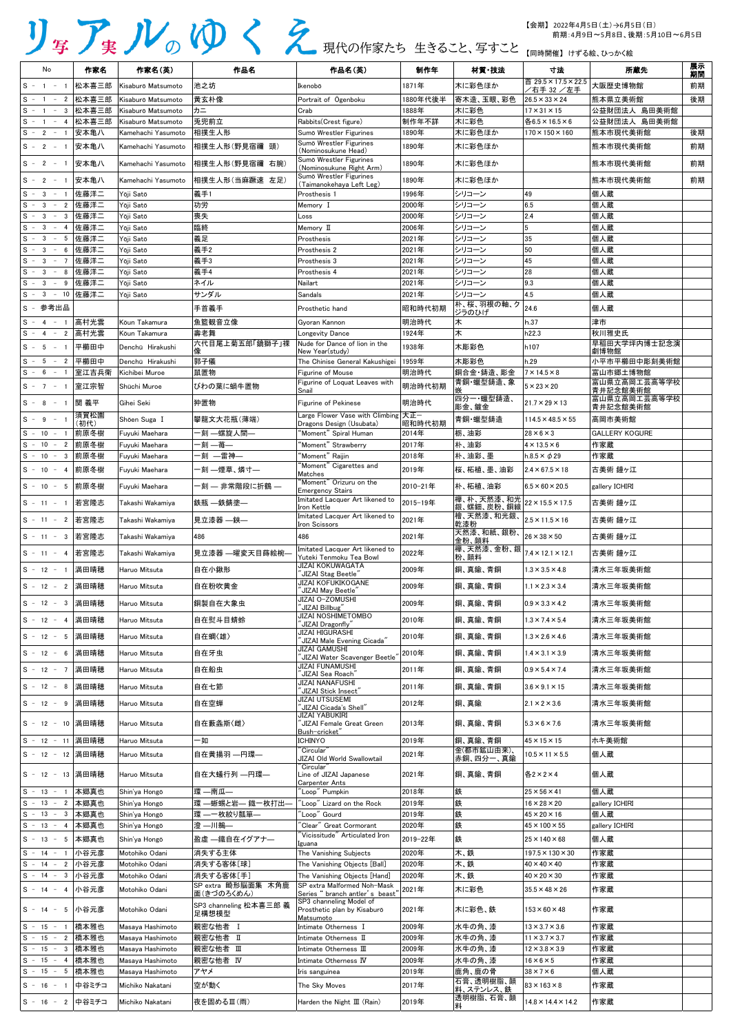| No                                                 | 作家名          | 作家名(英)                           | 作品名                             | 作品名(英)                                                               | 制作年            | 材質·技法                    | 寸法                                                 | 所蔵先                          | 展示<br>期間 |
|----------------------------------------------------|--------------|----------------------------------|---------------------------------|----------------------------------------------------------------------|----------------|--------------------------|----------------------------------------------------|------------------------------|----------|
| $S - 1$<br>$\sim$                                  | 松本喜三郎        | Kisaburō Matsumoto               | 池之坊                             | Ikenobō                                                              | 1871年          | 木に彩色ほか                   | 首 29.5×17.5×22.5                                   | 大阪歴史博物館                      | 前期       |
| S - 1 - 2 松本喜三郎                                    |              | Kisaburō Matsumoto               | 黄玄朴像                            | Portrait of Ogenboku                                                 | 1880年代後半       | 寄木造、玉眼、彩色                | /右手 32 /左手<br>$26.5 \times 33 \times 24$           | 熊本県立美術館                      | 後期       |
| S - 1 - 3 松本喜三郎                                    |              | Kisaburō Matsumoto               | カニ                              | Crab                                                                 | 1888年          | 木に彩色                     | $17 \times 31 \times 15$                           | 公益財団法人 島田美術館                 |          |
| S<br>$-1 - 4$                                      | 松本喜三郎        | Kisaburō Matsumoto               | 兎兜前立                            | Rabbits(Crest figure)                                                | 制作年不詳          | 木に彩色                     | 各6.5×16.5×6                                        | 公益財団法人 島田美術館                 |          |
| S<br>$-2 - 1$                                      | 安本亀八         | Kamehachi Yasumoto               | 相撲生人形                           | Sumō Wrestler Figurines                                              | 1890年          | 木に彩色ほか                   | $170 \times 150 \times 160$                        | 熊本市現代美術館                     | 後期       |
| $S - 2$<br>$-1$                                    | 安本亀八         | Kamehachi Yasumoto               | 相撲生人形(野見宿禰 頭)                   | Sumō Wrestler Figurines                                              | 1890年          | 木に彩色ほか                   |                                                    | 熊本市現代美術館                     | 前期       |
| $S - 2 - 1$                                        | 安本亀八         | Kamehachi Yasumoto               | 相撲生人形(野見宿禰 右腕)                  | (Nominosukune Head)<br>Sumō Wrestler Figurines                       | 1890年          | 木に彩色ほか                   |                                                    | 熊本市現代美術館                     | 前期       |
|                                                    |              |                                  |                                 | (Nominosukune Right Arm)<br>Sumō Wrestler Figurines                  | 1890年          |                          |                                                    |                              |          |
| $S - 2 - 1$                                        | 安本亀八         | Kamehachi Yasumoto               | 相撲生人形(当麻蹶速 左足)                  | (Taimanokehaya Left Leg)                                             |                | 木に彩色ほか                   |                                                    | 熊本市現代美術館                     | 前期       |
| $S - 3$<br>$-1$                                    | 佐藤洋二         | Yōji Satō                        | 義手1                             | Prosthesis 1                                                         | 1996年          | シリコーン                    | 49                                                 | 個人蔵                          |          |
| S<br>$-3$<br>$\overline{2}$<br>$-$                 | 佐藤洋二         | Yōji Satō                        | 功労                              | Memory I                                                             | 2000年          | シリコーン                    | 6.5                                                | 個人蔵                          |          |
| $-3$<br>S<br>3<br>$\overline{\phantom{a}}$<br>$-3$ | 佐藤洋二         | Yōji Satō                        | 喪失<br>臨終                        | Loss                                                                 | 2000年          | シリコーン                    | 2.4                                                | 個人蔵                          |          |
| S<br>$\sim$<br>4<br>S.                             | 佐藤洋二<br>佐藤洋二 | Yōji Satō<br>Yōji Satō           | 義足                              | Memory II                                                            | 2006年<br>2021年 | シリコーン<br>トシリコーン          | 35                                                 | 個人蔵<br>個人蔵                   |          |
| $-3$<br>$-5$<br>$S - 3 - 6$                        | 佐藤洋二         | Yōji Satō                        | 義手2                             | Prosthesis<br>Prosthesis 2                                           | 2021年          | シリコーン                    | 50                                                 | 個人蔵                          |          |
| $S - 3 - 7$                                        | 佐藤洋二         | Yōji Satō                        | 義手3                             | Prosthesis 3                                                         | 2021年          | シリコーン                    | 45                                                 | 個人蔵                          |          |
| $S - 3 -$<br>8                                     | 佐藤洋二         | Yōji Satō                        | 義手4                             | Prosthesis 4                                                         | 2021年          | シリコーン                    | 28                                                 | 個人蔵                          |          |
| S<br>$-3$<br>$\sim$<br>9                           | 佐藤洋二         | Yōji Satō                        | ネイル                             | Nailart                                                              | 2021年          | シリコーン                    | 9.3                                                | 個人蔵                          |          |
| - 3 - 10 佐藤洋二<br>S.                                |              | Yōji Satō                        | サンダル                            | <b>Sandals</b>                                                       | 2021年          | シリコーン                    | 4.5                                                | 個人蔵                          |          |
| S - 参考出品                                           |              |                                  | 手首義手                            | Prosthetic hand                                                      | 昭和時代初期         | 朴、桜、羽根の軸、ク<br>ジラのひげ      | 24.6                                               | 個人蔵                          |          |
| $S - 4 - 1$                                        | 高村光雲         | Kōun Takamura                    | 魚籃観音立像                          | Gyoran Kannon                                                        | 明治時代           | 木                        | h.37                                               | 津市                           |          |
| $S - 4 - 2$                                        | 高村光雲         | Kōun Takamura                    | 壽老舞                             | Longevity Dance                                                      | 1924年          | 木                        | h22.3                                              | 秋川雅史氏                        |          |
| $S - 5 - 1$                                        | 平櫛田中         | Denchū Hirakushi                 | 六代目尾上菊五郎「鏡獅子」裸                  | Nude for Dance of lion in the                                        | 1938年          | 木彫彩色                     | h107                                               | 早稲田大学坪内博士記念演                 |          |
|                                                    |              |                                  |                                 | New Year(study)                                                      |                |                          |                                                    | 劇博物館                         |          |
| $S - 5 - 2$                                        | 平櫛田中         | Denchū Hirakushi                 | 郭子儀                             | The Chinise General Kakushigei                                       | 1959年          | 木彫彩色                     | h.29                                               | 小平市平櫛田中彫刻美術館                 |          |
| $S - 6 - 1$                                        | 室江吉兵衛        | Kichibei Muroe                   | 鼠置物                             | Figurine of Mouse<br>Figurine of Loquat Leaves with                  | 明治時代           | 銅合金・鋳造、彫金<br>青銅·蠟型鋳造、象   | $7 \times 14.5 \times 8$                           | 富山市郷土博物館<br>富山県立高岡工芸高等学校     |          |
| $S - 7 - 1$                                        | 室江宗智         | Shūchi Muroe                     | びわの葉に蝸牛置物                       | Snail                                                                | 明治時代初期         |                          | $5 \times 23 \times 20$                            | 青井記念館美術館                     |          |
| $S - 8$<br>$-1$                                    | 関 義平         | Gihei Seki                       | 狆置物                             | <b>Figurine of Pekinese</b>                                          | 明治時代           | 四分一·蠟型鋳造、<br>彫金、鍍金       | $21.7 \times 29 \times 13$                         | 富山県立高岡工芸高等学校<br>青井記念館美術館     |          |
| $S - 9$<br>$-1$                                    | 須賀松園         | Shōen Suga I                     | 攀龍文大花瓶(薄端)                      | Large Flower Vase with Climbing $ \nabla \mathbf{E} -$               |                | 青銅·蠟型鋳造                  | $114.5 \times 48.5 \times 55$                      | 高岡市美術館                       |          |
|                                                    | (初代)         |                                  |                                 | Dragons Design (Usubata)                                             | 昭和時代初期         |                          |                                                    |                              |          |
| $S - 10 - 1$<br>S - 10 - 2 前原冬樹                    | 前原冬樹         | Fuyuki Maehara                   | 一刻 —螺旋人間—<br>-刻 —苺—             | "Moment" Spiral Human<br>"Moment" Strawberry                         | 2014年<br>2017年 | 栃、油彩                     | $28 \times 6 \times 3$<br>$4 \times 13.5 \times 6$ | <b>GALLERY KOGURE</b><br>作家蔵 |          |
| S - 10 - 3 前原冬樹                                    |              | Fuyuki Maehara<br>Fuyuki Maehara | -刻 ―雷神―                         | 'Moment" Raijin                                                      | 2018年          | 朴、油彩<br>朴、油彩、墨           | h.8.5 $\times$ $\phi$ 29                           | 作家蔵                          |          |
|                                                    |              |                                  |                                 | 'Moment" Cigarettes and                                              |                |                          |                                                    |                              |          |
| S - 10 - 4 前原冬樹                                    |              | Fuvuki Maehara                   | -刻 —煙草、燐寸—                      | Matches<br>'Moment" Orizuru on the                                   | 2019年          | 桜、柘植、墨、油彩                | $2.4 \times 67.5 \times 18$                        | 古美術 鐘ヶ江                      |          |
| S - 10 - 5 前原冬樹                                    |              | Fuyuki Maehara                   | 一刻 — 非常階段に折鶴 —                  | <b>Emergency Stairs</b>                                              | 2010-21年       | 朴、柘植、油彩                  | $6.5 \times 60 \times 20.5$                        | gallery ICHIRI               |          |
| S - 11 - 1 若宮隆志                                    |              | Takashi Wakamiya                 | 鉄瓶 一鉄錆塗一                        | Imitated Lacquer Art likened to<br>Iron Kettle                       | 2015-19年       | 欅、朴、天然漆、和光<br>銀、螺鈿、炭粉、銅線 | $22 \times 15.5 \times 17.5$                       | 古美術 鐘ヶ江                      |          |
| S - 11 - 2 若宮隆志                                    |              | Takashi Wakamiya                 | 見立漆器 —鋏—                        | Imitated Lacquer Art likened to                                      | 2021年          | 檜、天然漆、和光銀、               | $2.5 \times 11.5 \times 16$                        | 古美術 鐘ヶ江                      |          |
|                                                    |              |                                  |                                 | Iron Scissors                                                        |                | 乾漆粉<br>天然漆、和紙、銀粉、        |                                                    |                              |          |
| S - 11 - 3 若宮隆志                                    |              | Takashi Wakamiya                 | 486                             | 486                                                                  | 2021年          | 金粉、顔料                    | $26 \times 38 \times 50$                           | 古美術 鐘ヶ江                      |          |
| S - 11 - 4 若宮隆志                                    |              | Takashi Wakamiya                 | 見立漆器 —曜変天目蒔絵椀-                  | Imitated Lacquer Art likened to<br>Yuteki Tenmoku Tea Bowl           | 2022年          | 粉、顔料                     |                                                    | 古美術 鐘ヶ江                      |          |
| S - 12 - 1 満田晴穂                                    |              | Haruo Mitsuta                    | 自在小鍬形                           | <b>JIZAI KOKUWAGATA</b><br>"JIZAI Stag Beetle"                       | 2009年          | 銅、真鍮、青銅                  | $1.3 \times 3.5 \times 4.8$                        | 清水三年坂美術館                     |          |
| S - 12 - 2 満田晴穂                                    |              | Haruo Mitsuta                    | 自在粉吹黄金                          | JIZAI KOFUKIKOGANE                                                   | 2009年          | 銅、真鍮、青銅                  | $1.1 \times 2.3 \times 3.4$                        | 清水三年坂美術館                     |          |
| S - 12 - 3 満田晴穂                                    |              | Haruo Mitsuta                    | 銅製自在大象虫                         | JIZAI May Beetle"<br>JIZAI O-ZOMUSHI                                 | 2009年          | 銅、真鍮、青銅                  | $0.9 \times 3.3 \times 4.2$                        | 清水三年坂美術館                     |          |
| S - 12 - 4 満田晴穂                                    |              | Haruo Mitsuta                    | 自在熨斗目蜻蛉                         | JIZAI Billbug"<br><b>JIZAI NOSHIMETOMBO</b>                          | 2010年          | 銅、真鍮、青銅                  | $1.3 \times 7.4 \times 5.4$                        | 清水三年坂美術館                     |          |
|                                                    |              |                                  |                                 | "JIZAI Dragonfly"<br><b>JIZAI HIGURASHI</b>                          | 2010年          |                          |                                                    |                              |          |
| S - 12 - 5 満田晴穂                                    |              | Haruo Mitsuta                    | 自在蜩〈雄〉                          | "JIZAI Male Evening Cicada"<br><b>JIZAI GAMUSHI</b>                  |                | 銅、真鍮、青銅                  | $1.3 \times 2.6 \times 4.6$                        | 清水三年坂美術館                     |          |
| S - 12 - 6 満田晴穂                                    |              | Haruo Mitsuta                    | 自在牙虫                            | "JIZAI Water Scavenger Beetle"<br>JIZAI FUNAMUSHI                    | 2010年          | 銅、真鍮、青銅                  | $1.4 \times 3.1 \times 3.9$                        | 清水三年坂美術館                     |          |
| S - 12 - 7 満田晴穂                                    |              | Haruo Mitsuta                    | 自在船虫                            | 'JIZAI Sea Roach"                                                    | 2011年          | 銅、真鍮、青銅                  | $0.9 \times 5.4 \times 7.4$                        | 清水三年坂美術館                     |          |
| S - 12 - 8 満田晴穂                                    |              | Haruo Mitsuta                    | 自在七節                            | JIZAI NANAFUSHI<br>JIZAI Stick Insect"                               | 2011年          | 銅、真鍮、青銅                  | $3.6 \times 9.1 \times 15$                         | 清水三年坂美術館                     |          |
| S - 12 - 9 満田晴穂                                    |              | Haruo Mitsuta                    | 自在空蝉                            | <b>JIZAI UTSUSEMI</b><br>JIZAI Cicada's Shell"                       | 2012年          | 銅、真鍮                     | $2.1 \times 2 \times 3.6$                          | 清水三年坂美術館                     |          |
| S - 12 - 10 満田晴穂                                   |              | Haruo Mitsuta                    | 自在藪螽斯〈雌〉                        | <b>JIZAI YABUKIRI</b><br>JIZAI Female Great Green                    | 2013年          | 銅、真鍮、青銅                  | $5.3 \times 6 \times 7.6$                          | 清水三年坂美術館                     |          |
| S - 12 - 11 満田晴穂                                   |              | Haruo Mitsuta                    | 一如                              | Bush-cricket"<br><b>ICHINYO</b>                                      | 2019年          | 銅、真鍮、青銅                  | $45 \times 15 \times 15$                           | ホキ美術館                        |          |
| S - 12 - 12 満田晴穂                                   |              | Haruo Mitsuta                    | 自在黄揚羽 —円環—                      | "Circular"                                                           | 2021年          | 金(都市鉱山由来)、               | $10.5 \times 11 \times 5.5$                        | 個人蔵                          |          |
|                                                    |              |                                  |                                 | JIZAI Old World Swallowtail<br>"Circular"                            |                | 赤銅、四分一、真鍮                |                                                    |                              |          |
| S - 12 - 13 満田晴穂                                   |              | Haruo Mitsuta                    | 自在大蟻行列 —円環—                     | Line of JIZAI Japanese<br><b>Carpenter Ants</b>                      | 2021年          | 銅、真鍮、青銅                  | 各2×2×4                                             | 個人蔵                          |          |
| $S - 13 - 1$                                       | 本郷真也         | Shin'ya Hongō                    | 環 ―南瓜―                          | "Loop" Pumpkin                                                       | 2018年          | 鉄                        | $25 \times 56 \times 41$                           | 個人蔵                          |          |
| S - 13 - 2 本郷真也                                    |              | Shin'ya Hongō                    | 環 一蜥蜴と岩–– 鐡一枚打出–                | Loop" Lizard on the Rock                                             | 2019年          | 鉄                        | $16 \times 28 \times 20$                           | gallery ICHIRI               |          |
| S - 13 - 3 本郷真也                                    |              | Shin'ya Hongō                    | 環 ーー枚絞り瓢箪ー                      | 'Loop" Gourd                                                         | 2019年          | 鉄                        | $45 \times 20 \times 16$                           | 個人蔵                          |          |
| S - 13 - 4 本郷真也                                    |              | Shin'va Hongō                    | 澄 —川鵜—                          | "Clear" Great Cormorant<br>$\lq$ Vicissitude $\lq'$ Articulated Iron | 2020年          | 鉄                        | $45 \times 100 \times 55$                          | gallery ICHIRI               |          |
| S - 13 - 5 本郷真也                                    |              | Shin'ya Hongō                    | 盈虚 ―鐵自在イグアナ―                    | Iguana                                                               | 2019-22年       | 鉄                        | $25 \times 140 \times 68$                          | 個人蔵                          |          |
| $S - 14 - 1$                                       | 小谷元彦         | Motohiko Odani                   | 消失する主体                          | The Vanishing Subjects                                               | 2020年          | 木、鉄                      | $197.5 \times 130 \times 30$                       | 作家蔵                          |          |
| S - 14 - 2 小谷元彦                                    |              | Motohiko Odani                   | 消失する客体[球]                       | The Vanishing Objects [Ball]                                         | 2020年          | 木、鉄                      | $40 \times 40 \times 40$                           | 作家蔵                          |          |
| S - 14 - 3 小谷元彦                                    |              | Motohiko Odani                   | 消失する客体[手]<br>SP extra 畸形脳面集 木角鹿 | The Vanishing Objects [Hand]<br>SP extra Malformed Noh-Mask          | 2020年          | 木、鉄                      | $40 \times 20 \times 30$                           | 作家蔵                          |          |
| S- 14 - 4  小谷元彦                                    |              | Motohiko Odani                   | 面(きづのろくめん)                      | Series " branch antler' s beast"                                     | 2021年          | 木に彩色                     | $35.5 \times 48 \times 26$                         | 作家蔵                          |          |
| S - 14 - 5  小谷元彦                                   |              | Motohiko Odani                   | SP3 channeling 松本喜三郎 義<br>足構想模型 | SP3 channeling Model of<br>Prosthetic plan by Kisaburō<br>Matsumoto  | 2021年          | 木に彩色、鉄                   | $153 \times 60 \times 48$                          | 作家蔵                          |          |
| $S - 15 - 1$                                       | 橋本雅也         | Masaya Hashimoto                 | 親密な他者 I                         | Intimate Otherness I                                                 | 2009年          | 水牛の角、漆                   | $13 \times 3.7 \times 3.6$                         | 作家蔵                          |          |
| S - 15 - 2 橋本雅也                                    |              | Masaya Hashimoto                 | 親密な他者 II                        | Intimate Otherness II                                                | 2009年          | 水牛の角、漆                   | $11 \times 3.7 \times 3.7$                         | 作家蔵                          |          |
| S - 15 - 3 橋本雅也                                    |              | Masaya Hashimoto                 | 親密な他者 Ⅲ                         | Intimate Otherness III                                               | 2009年          | 水牛の角、漆                   | $12 \times 3.8 \times 3.9$                         | 作家蔵                          |          |
| S - 15 - 4 橋本雅也                                    |              | Masava Hashimoto                 | 親密な他者 IV                        | Intimate Otherness IV                                                | 2009年          | 水牛の角、漆                   | $16 \times 6 \times 5$                             | 作家蔵                          |          |
| S - 15 - 5 橋本雅也                                    |              | Masaya Hashimoto                 | アヤメ                             | Iris sanguinea                                                       | 2019年          | 鹿角、鹿の骨                   | $38 \times 7 \times 6$                             | 個人蔵                          |          |
| $S - 16 - 1$                                       | 中谷ミチコ        | Michiko Nakatani                 | 空が動く                            | The Sky Moves                                                        | 2017年          | 石膏、透明樹脂、顔<br>料、ステンレス、鉄   | $83 \times 163 \times 8$                           | 作家蔵                          |          |
| S‐ 16 ‐ 2  中谷ミチコ                                   |              | Michiko Nakatani                 | 夜を固めるⅢ(雨)                       | Harden the Night $\mathbb{II}$ (Rain)                                | 2019年          | 透明樹脂、石膏、顔<br>料           | $14.8 \times 14.4 \times 14.2$                     | 作家蔵                          |          |

## 現代の作家たち 生きること、写すこと 【同時開催】 けずる絵、ひっかく絵

【会期】 2022年4月5日(土)→6月5日(日) 前期:4月9日~5月8日、後期:5月10日~6月5日